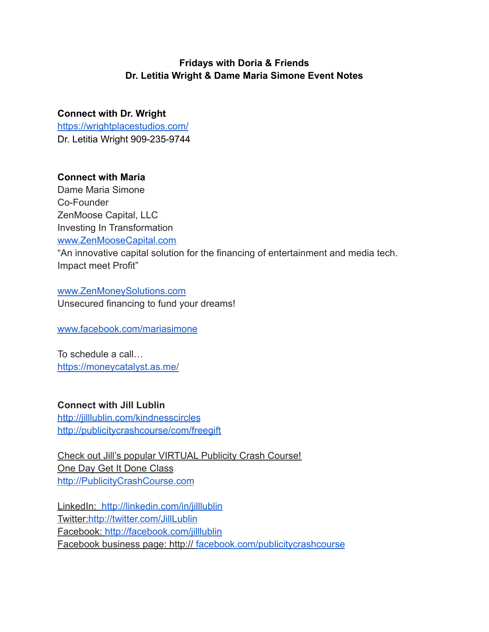#### **Fridays with Doria & Friends Dr. Letitia Wright & Dame Maria Simone Event Notes**

# **Connect with Dr. Wright**

<https://wrightplacestudios.com/> Dr. Letitia Wright 909-235-9744

## **Connect with Maria**

Dame Maria Simone Co-Founder ZenMoose Capital, LLC Investing In Transformation [www.ZenMooseCapital.com](http://www.zenmoosecapital.com/) "An innovative capital solution for the financing of entertainment and media tech. Impact meet Profit"

[www.ZenMoneySolutions.com](http://www.zenmoneysolutions.com/) Unsecured financing to fund your dreams!

[www.facebook.com/mariasimone](http://www.facebook.com/mariasimone)

To schedule a call… <https://moneycatalyst.as.me/>

## **Connect with Jill Lublin**

<http://jilllublin.com/kindnesscircles> <http://publicitycrashcourse/com/freegift>

Check out Jill's popular VIRTUAL Publicity Crash Course! One Day Get It Done Class [http://PublicityCrashCourse.com](http://publicitycrashcourse.com/)

LinkedIn: <http://linkedin.com/in/jilllublin> Twitter:<http://twitter.com/JillLublin> Facebook: <http://facebook.com/jilllublin> Facebook business page: http:// [facebook.com/publicitycrashcourse](http://facebook.com/publicitycrashcourse)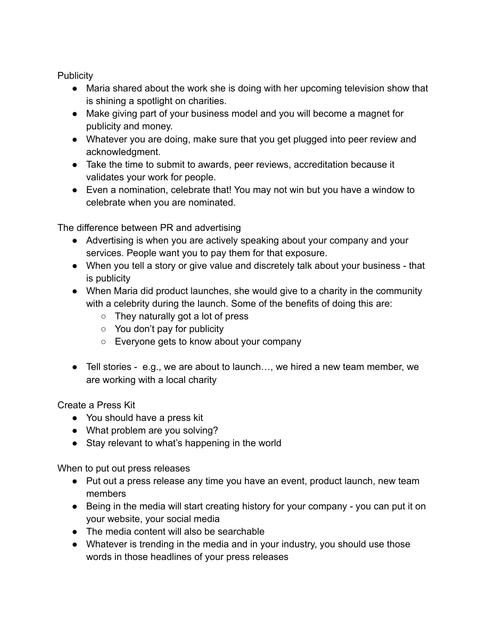**Publicity** 

- Maria shared about the work she is doing with her upcoming television show that is shining a spotlight on charities.
- Make giving part of your business model and you will become a magnet for publicity and money.
- Whatever you are doing, make sure that you get plugged into peer review and acknowledgment.
- Take the time to submit to awards, peer reviews, accreditation because it validates your work for people.
- Even a nomination, celebrate that! You may not win but you have a window to celebrate when you are nominated.

The difference between PR and advertising

- Advertising is when you are actively speaking about your company and your services. People want you to pay them for that exposure.
- When you tell a story or give value and discretely talk about your business that is publicity
- When Maria did product launches, she would give to a charity in the community with a celebrity during the launch. Some of the benefits of doing this are:
	- They naturally got a lot of press
	- You don't pay for publicity
	- Everyone gets to know about your company
- Tell stories e.g., we are about to launch…, we hired a new team member, we are working with a local charity

Create a Press Kit

- You should have a press kit
- What problem are you solving?
- Stay relevant to what's happening in the world

When to put out press releases

- Put out a press release any time you have an event, product launch, new team members
- Being in the media will start creating history for your company you can put it on your website, your social media
- The media content will also be searchable
- Whatever is trending in the media and in your industry, you should use those words in those headlines of your press releases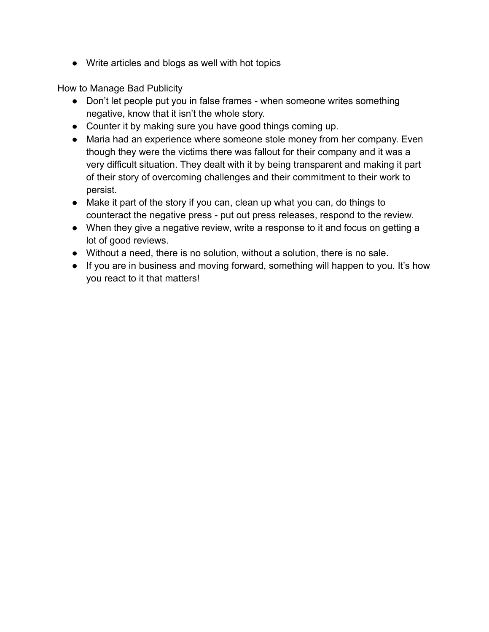● Write articles and blogs as well with hot topics

How to Manage Bad Publicity

- Don't let people put you in false frames when someone writes something negative, know that it isn't the whole story.
- Counter it by making sure you have good things coming up.
- Maria had an experience where someone stole money from her company. Even though they were the victims there was fallout for their company and it was a very difficult situation. They dealt with it by being transparent and making it part of their story of overcoming challenges and their commitment to their work to persist.
- Make it part of the story if you can, clean up what you can, do things to counteract the negative press - put out press releases, respond to the review.
- When they give a negative review, write a response to it and focus on getting a lot of good reviews.
- Without a need, there is no solution, without a solution, there is no sale.
- If you are in business and moving forward, something will happen to you. It's how you react to it that matters!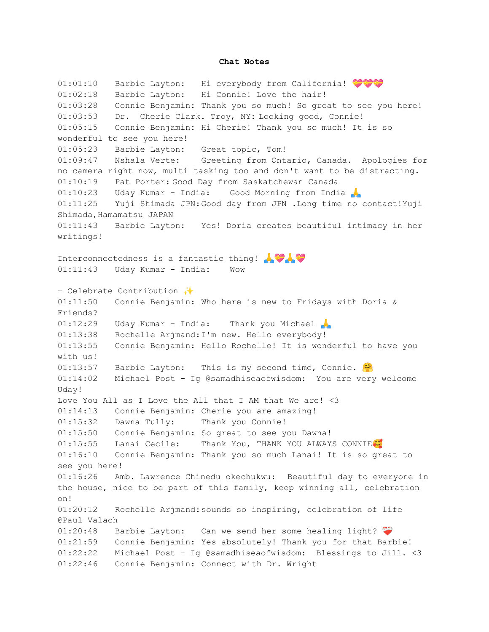#### **Chat Notes**

01:01:10 Barbie Layton: Hi everybody from California! 01:02:18 Barbie Layton: Hi Connie! Love the hair! 01:03:28 Connie Benjamin: Thank you so much! So great to see you here! 01:03:53 Dr. Cherie Clark. Troy, NY: Looking good, Connie! 01:05:15 Connie Benjamin: Hi Cherie! Thank you so much! It is so wonderful to see you here! 01:05:23 Barbie Layton: Great topic, Tom! 01:09:47 Nshala Verte: Greeting from Ontario, Canada. Apologies for no camera right now, multi tasking too and don't want to be distracting. 01:10:19 Pat Porter: Good Day from Saskatchewan Canada 01:10:23 Uday Kumar - India: Good Morning from India 01:11:25 Yuji Shimada JPN:Good day from JPN .Long time no contact!Yuji Shimada, Hamamatsu JAPAN 01:11:43 Barbie Layton: Yes! Doria creates beautiful intimacy in her writings! Interconnectedness is a fantastic thing!  $\mathbf{Q}$ 01:11:43 Uday Kumar - India: Wow - Celebrate Contribution ✨ 01:11:50 Connie Benjamin: Who here is new to Fridays with Doria & Friends?  $01:12:29$  Uday Kumar - India: Thank you Michael 01:13:38 Rochelle Arjmand:I'm new. Hello everybody! 01:13:55 Connie Benjamin: Hello Rochelle! It is wonderful to have you with us!  $01:13:57$  Barbie Layton: This is my second time, Connie. 01:14:02 Michael Post - Ig @samadhiseaofwisdom: You are very welcome Uday! Love You All as I Love the All that I AM that We are! <3 01:14:13 Connie Benjamin: Cherie you are amazing! 01:15:32 Dawna Tully: Thank you Connie! 01:15:50 Connie Benjamin: So great to see you Dawna! 01:15:55 Lanai Cecile: Thank You, THANK YOU ALWAYS CONNIE 01:16:10 Connie Benjamin: Thank you so much Lanai! It is so great to see you here! 01:16:26 Amb. Lawrence Chinedu okechukwu: Beautiful day to everyone in the house, nice to be part of this family, keep winning all, celebration on! 01:20:12 Rochelle Arjmand:sounds so inspiring, celebration of life @Paul Valach 01:20:48 Barbie Layton: Can we send her some healing light? 01:21:59 Connie Benjamin: Yes absolutely! Thank you for that Barbie! 01:22:22 Michael Post - Ig @samadhiseaofwisdom: Blessings to Jill. <3 01:22:46 Connie Benjamin: Connect with Dr. Wright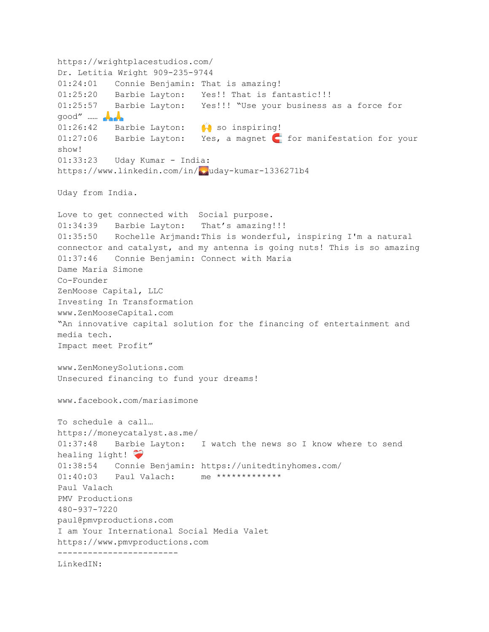```
https://wrightplacestudios.com/
Dr. Letitia Wright 909-235-9744
01:24:01 Connie Benjamin: That is amazing!
01:25:20 Barbie Layton: Yes!! That is fantastic!!!
01:25:57 Barbie Layton: Yes!!! "Use your business as a force for
good" …… 
01:26:42 Barbie Layton: \bullet\bullet so inspiring!
01:27:06 Barbie Layton: Yes, a magnet for manifestation for your
show!
01:33:23 Uday Kumar - India:
https://www.linkedin.com/in/wwday-kumar-1336271b4
Uday from India.
Love to get connected with Social purpose.
01:34:39 Barbie Layton: That's amazing!!!
01:35:50 Rochelle Arjmand:This is wonderful, inspiring I'm a natural
connector and catalyst, and my antenna is going nuts! This is so amazing
01:37:46 Connie Benjamin: Connect with Maria
Dame Maria Simone
Co-Founder
ZenMoose Capital, LLC
Investing In Transformation
www.ZenMooseCapital.com
"An innovative capital solution for the financing of entertainment and
media tech.
Impact meet Profit"
www.ZenMoneySolutions.com
Unsecured financing to fund your dreams!
www.facebook.com/mariasimone
To schedule a call…
https://moneycatalyst.as.me/
01:37:48 Barbie Layton: I watch the news so I know where to send
healing light!
01:38:54 Connie Benjamin: https://unitedtinyhomes.com/
01:40:03    Paul Valach:    me *************
Paul Valach
PMV Productions
480-937-7220
paul@pmvproductions.com
I am Your International Social Media Valet
https://www.pmvproductions.com
------------------------
LinkedIN:
```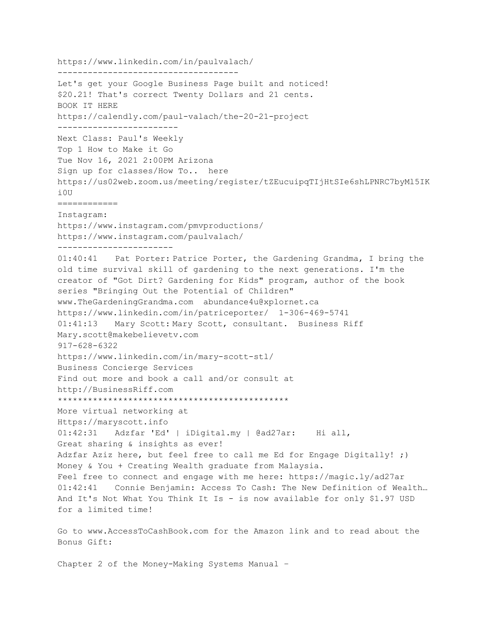https://www.linkedin.com/in/paulvalach/ ------------------------------------ Let's get your Google Business Page built and noticed! \$20.21! That's correct Twenty Dollars and 21 cents. BOOK IT HERE https://calendly.com/paul-valach/the-20-21-project ------------------------ Next Class: Paul's Weekly Top 1 How to Make it Go Tue Nov 16, 2021 2:00PM Arizona Sign up for classes/How To.. here https://us02web.zoom.us/meeting/register/tZEucuipqTIjHtSIe6shLPNRC7byMl5IK i0U ============ Instagram: https://www.instagram.com/pmvproductions/ https://www.instagram.com/paulvalach/ ----------------------- 01:40:41 Pat Porter: Patrice Porter, the Gardening Grandma, I bring the old time survival skill of gardening to the next generations. I'm the creator of "Got Dirt? Gardening for Kids" program, author of the book series "Bringing Out the Potential of Children" www.TheGardeningGrandma.com abundance4u@xplornet.ca https://www.linkedin.com/in/patriceporter/ 1-306-469-5741 01:41:13 Mary Scott: Mary Scott, consultant. Business Riff Mary.scott@makebelievetv.com 917-628-6322 https://www.linkedin.com/in/mary-scott-stl/ Business Concierge Services Find out more and book a call and/or consult at http://BusinessRiff.com \*\*\*\*\*\*\*\*\*\*\*\*\*\*\*\*\*\*\*\*\*\*\*\*\*\*\*\*\*\*\*\*\*\*\*\*\*\*\*\*\*\*\*\*\*\* More virtual networking at Https://maryscott.info 01:42:31 Adzfar 'Ed' | iDigital.my | @ad27ar: Hi all, Great sharing & insights as ever! Adzfar Aziz here, but feel free to call me Ed for Engage Digitally! ;) Money & You + Creating Wealth graduate from Malaysia. Feel free to connect and engage with me here: https://magic.ly/ad27ar 01:42:41 Connie Benjamin: Access To Cash: The New Definition of Wealth… And It's Not What You Think It Is - is now available for only \$1.97 USD for a limited time!

Go to www.AccessToCashBook.com for the Amazon link and to read about the Bonus Gift:

Chapter 2 of the Money-Making Systems Manual –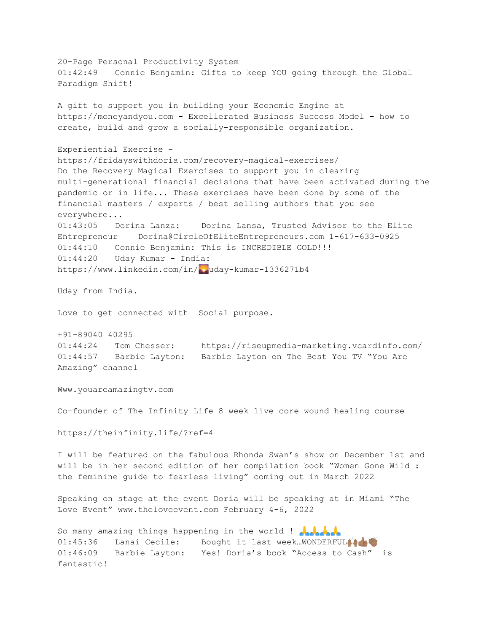20-Page Personal Productivity System 01:42:49 Connie Benjamin: Gifts to keep YOU going through the Global Paradigm Shift! A gift to support you in building your Economic Engine at https://moneyandyou.com - Excellerated Business Success Model - how to create, build and grow a socially-responsible organization. Experiential Exercise https://fridayswithdoria.com/recovery-magical-exercises/ Do the Recovery Magical Exercises to support you in clearing multi-generational financial decisions that have been activated during the pandemic or in life... These exercises have been done by some of the financial masters / experts / best selling authors that you see everywhere... 01:43:05 Dorina Lanza: Dorina Lansa, Trusted Advisor to the Elite Entrepreneur Dorina@CircleOfEliteEntrepreneurs.com 1-617-633-0925 01:44:10 Connie Benjamin: This is INCREDIBLE GOLD!!! 01:44:20 Uday Kumar - India: https://www.linkedin.com/in/pouday-kumar-1336271b4 Uday from India. Love to get connected with Social purpose. +91-89040 40295 01:44:24 Tom Chesser: https://riseupmedia-marketing.vcardinfo.com/ 01:44:57 Barbie Layton: Barbie Layton on The Best You TV "You Are Amazing" channel Www.youareamazingtv.com Co-founder of The Infinity Life 8 week live core wound healing course https://theinfinity.life/?ref=4 I will be featured on the fabulous Rhonda Swan's show on December 1st and will be in her second edition of her compilation book "Women Gone Wild : the feminine guide to fearless living" coming out in March 2022 Speaking on stage at the event Doria will be speaking at in Miami "The Love Event" www.theloveevent.com February 4-6, 2022 So many amazing things happening in the world ! 01:45:36 Lanai Cecile: Bought it last week..WONDERFULA 01:46:09 Barbie Layton: Yes! Doria's book "Access to Cash" is fantastic!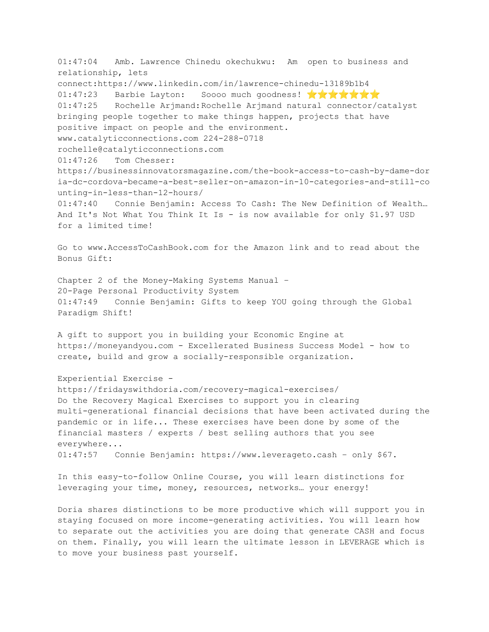01:47:04 Amb. Lawrence Chinedu okechukwu: Am open to business and relationship, lets connect:https://www.linkedin.com/in/lawrence-chinedu-13189b1b4 01:47:23 Barbie Layton: Soooo much goodness!  $\mathbf{\hat{X}} \mathbf{\hat{X}} \mathbf{\hat{X}} \mathbf{\hat{X}}$ 01:47:25 Rochelle Arjmand:Rochelle Arjmand natural connector/catalyst bringing people together to make things happen, projects that have positive impact on people and the environment. www.catalyticconnections.com 224-288-0718 rochelle@catalyticconnections.com 01:47:26 Tom Chesser: https://businessinnovatorsmagazine.com/the-book-access-to-cash-by-dame-dor ia-dc-cordova-became-a-best-seller-on-amazon-in-10-categories-and-still-co unting-in-less-than-12-hours/ 01:47:40 Connie Benjamin: Access To Cash: The New Definition of Wealth… And It's Not What You Think It Is - is now available for only \$1.97 USD for a limited time! Go to www.AccessToCashBook.com for the Amazon link and to read about the Bonus Gift: Chapter 2 of the Money-Making Systems Manual – 20-Page Personal Productivity System 01:47:49 Connie Benjamin: Gifts to keep YOU going through the Global Paradigm Shift! A gift to support you in building your Economic Engine at https://moneyandyou.com - Excellerated Business Success Model - how to create, build and grow a socially-responsible organization. Experiential Exercise https://fridayswithdoria.com/recovery-magical-exercises/ Do the Recovery Magical Exercises to support you in clearing multi-generational financial decisions that have been activated during the pandemic or in life... These exercises have been done by some of the financial masters / experts / best selling authors that you see everywhere... 01:47:57 Connie Benjamin: https://www.leverageto.cash – only \$67. In this easy-to-follow Online Course, you will learn distinctions for leveraging your time, money, resources, networks… your energy! Doria shares distinctions to be more productive which will support you in staying focused on more income-generating activities. You will learn how to separate out the activities you are doing that generate CASH and focus on them. Finally, you will learn the ultimate lesson in LEVERAGE which is

to move your business past yourself.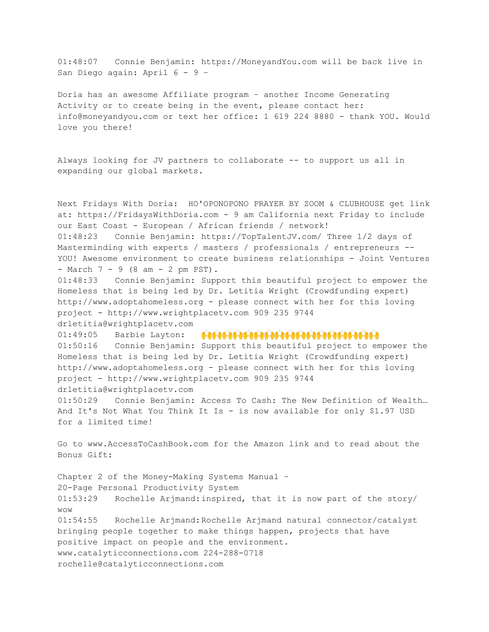01:48:07 Connie Benjamin: https://MoneyandYou.com will be back live in San Diego again: April 6 - 9 –

Doria has an awesome Affiliate program – another Income Generating Activity or to create being in the event, please contact her: info@moneyandyou.com or text her office: 1 619 224 8880 - thank YOU. Would love you there!

Always looking for JV partners to collaborate -- to support us all in expanding our global markets.

Next Fridays With Doria: HO'OPONOPONO PRAYER BY ZOOM & CLUBHOUSE get link at: https://FridaysWithDoria.com - 9 am California next Friday to include our East Coast - European / African friends / network! 01:48:23 Connie Benjamin: https://TopTalentJV.com/ Three 1/2 days of Masterminding with experts / masters / professionals / entrepreneurs -- YOU! Awesome environment to create business relationships - Joint Ventures - March 7 - 9 (8 am - 2 pm PST).

01:48:33 Connie Benjamin: Support this beautiful project to empower the Homeless that is being led by Dr. Letitia Wright (Crowdfunding expert) http://www.adoptahomeless.org - please connect with her for this loving project - http://www.wrightplacetv.com 909 235 9744 drletitia@wrightplacetv.com

01:49:05 Barbie Layton: **[1616161616161616161616161616161** 01:50:16 Connie Benjamin: Support this beautiful project to empower the Homeless that is being led by Dr. Letitia Wright (Crowdfunding expert) http://www.adoptahomeless.org - please connect with her for this loving project - http://www.wrightplacetv.com 909 235 9744 drletitia@wrightplacetv.com

01:50:29 Connie Benjamin: Access To Cash: The New Definition of Wealth… And It's Not What You Think It Is - is now available for only \$1.97 USD for a limited time!

Go to www.AccessToCashBook.com for the Amazon link and to read about the Bonus Gift:

Chapter 2 of the Money-Making Systems Manual – 20-Page Personal Productivity System 01:53:29 Rochelle Arjmand:inspired, that it is now part of the story/ wow 01:54:55 Rochelle Arjmand:Rochelle Arjmand natural connector/catalyst bringing people together to make things happen, projects that have positive impact on people and the environment. www.catalyticconnections.com 224-288-0718 rochelle@catalyticconnections.com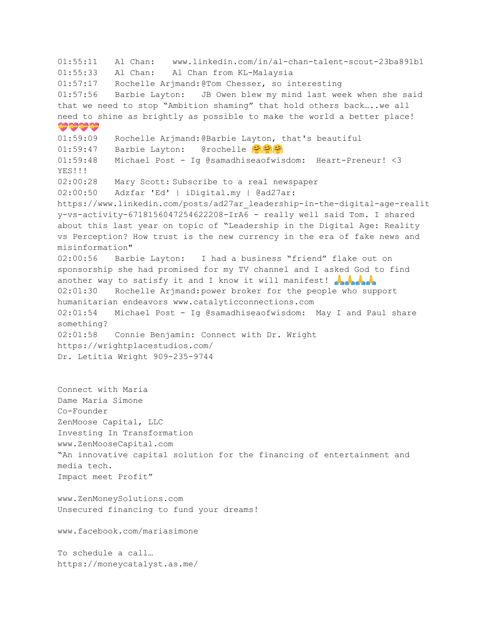01:55:11 Al Chan: www.linkedin.com/in/al-chan-talent-scout-23ba891b1 01:55:33 Al Chan: Al Chan from KL-Malaysia 01:57:17 Rochelle Arjmand:@Tom Chesser, so interesting 01:57:56 Barbie Layton: JB Owen blew my mind last week when she said that we need to stop "Ambition shaming" that hold others back…..we all need to shine as brightly as possible to make the world a better place! ش شاهد 01:59:09 Rochelle Arjmand:@Barbie Layton, that's beautiful 01:59:47 Barbie Layton: @rochelle 01:59:48 Michael Post - Ig @samadhiseaofwisdom: Heart-Preneur! <3 YES!!! 02:00:28 Mary Scott: Subscribe to a real newspaper 02:00:50 Adzfar 'Ed' | iDigital.my | @ad27ar: https://www.linkedin.com/posts/ad27ar\_leadership-in-the-digital-age-realit y-vs-activity-6718156047254622208-IrA6 - really well said Tom. I shared about this last year on topic of "Leadership in the Digital Age: Reality vs Perception? How trust is the new currency in the era of fake news and misinformation" 02:00:56 Barbie Layton: I had a business "friend" flake out on sponsorship she had promised for my TV channel and I asked God to find another way to satisfy it and I know it will manifest!  $\mathbf{A} \mathbf{A}$ 02:01:30 Rochelle Arjmand:power broker for the people who support humanitarian endeavors www.catalyticconnections.com 02:01:54 Michael Post - Ig @samadhiseaofwisdom: May I and Paul share something? 02:01:58 Connie Benjamin: Connect with Dr. Wright https://wrightplacestudios.com/ Dr. Letitia Wright 909-235-9744 Connect with Maria Dame Maria Simone Co-Founder ZenMoose Capital, LLC Investing In Transformation www.ZenMooseCapital.com "An innovative capital solution for the financing of entertainment and media tech. Impact meet Profit" www.ZenMoneySolutions.com Unsecured financing to fund your dreams!

www.facebook.com/mariasimone

To schedule a call… https://moneycatalyst.as.me/